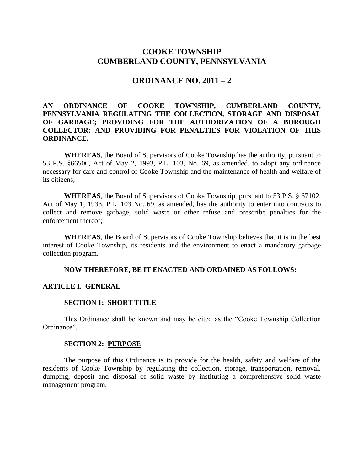# **COOKE TOWNSHIP CUMBERLAND COUNTY, PENNSYLVANIA**

### **ORDINANCE NO. 2011 – 2**

## **AN ORDINANCE OF COOKE TOWNSHIP, CUMBERLAND COUNTY, PENNSYLVANIA REGULATING THE COLLECTION, STORAGE AND DISPOSAL OF GARBAGE; PROVIDING FOR THE AUTHORIZATION OF A BOROUGH COLLECTOR; AND PROVIDING FOR PENALTIES FOR VIOLATION OF THIS ORDINANCE.**

**WHEREAS**, the Board of Supervisors of Cooke Township has the authority, pursuant to 53 P.S. §66506, Act of May 2, 1993, P.L. 103, No. 69, as amended, to adopt any ordinance necessary for care and control of Cooke Township and the maintenance of health and welfare of its citizens;

**WHEREAS**, the Board of Supervisors of Cooke Township, pursuant to 53 P.S. § 67102, Act of May 1, 1933, P.L. 103 No. 69, as amended, has the authority to enter into contracts to collect and remove garbage, solid waste or other refuse and prescribe penalties for the enforcement thereof;

**WHEREAS**, the Board of Supervisors of Cooke Township believes that it is in the best interest of Cooke Township, its residents and the environment to enact a mandatory garbage collection program.

### **NOW THEREFORE, BE IT ENACTED AND ORDAINED AS FOLLOWS:**

### **ARTICLE I. GENERAL**

#### **SECTION 1: SHORT TITLE**

This Ordinance shall be known and may be cited as the "Cooke Township Collection Ordinance".

#### **SECTION 2: PURPOSE**

The purpose of this Ordinance is to provide for the health, safety and welfare of the residents of Cooke Township by regulating the collection, storage, transportation, removal, dumping, deposit and disposal of solid waste by instituting a comprehensive solid waste management program.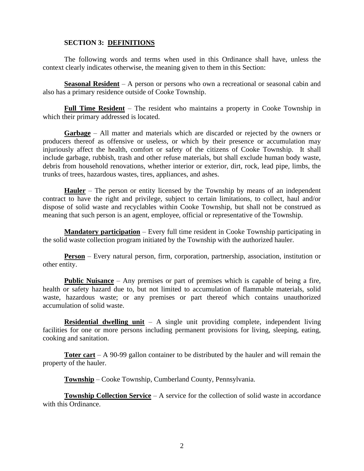## **SECTION 3: DEFINITIONS**

The following words and terms when used in this Ordinance shall have, unless the context clearly indicates otherwise, the meaning given to them in this Section:

**Seasonal Resident** – A person or persons who own a recreational or seasonal cabin and also has a primary residence outside of Cooke Township.

**Full Time Resident** – The resident who maintains a property in Cooke Township in which their primary addressed is located.

**Garbage** – All matter and materials which are discarded or rejected by the owners or producers thereof as offensive or useless, or which by their presence or accumulation may injuriously affect the health, comfort or safety of the citizens of Cooke Township. It shall include garbage, rubbish, trash and other refuse materials, but shall exclude human body waste, debris from household renovations, whether interior or exterior, dirt, rock, lead pipe, limbs, the trunks of trees, hazardous wastes, tires, appliances, and ashes.

**Hauler** – The person or entity licensed by the Township by means of an independent contract to have the right and privilege, subject to certain limitations, to collect, haul and/or dispose of solid waste and recyclables within Cooke Township, but shall not be construed as meaning that such person is an agent, employee, official or representative of the Township.

**Mandatory participation** – Every full time resident in Cooke Township participating in the solid waste collection program initiated by the Township with the authorized hauler.

**Person** – Every natural person, firm, corporation, partnership, association, institution or other entity.

**Public Nuisance** – Any premises or part of premises which is capable of being a fire, health or safety hazard due to, but not limited to accumulation of flammable materials, solid waste, hazardous waste; or any premises or part thereof which contains unauthorized accumulation of solid waste.

**Residential dwelling unit** – A single unit providing complete, independent living facilities for one or more persons including permanent provisions for living, sleeping, eating, cooking and sanitation.

**Toter cart** – A 90-99 gallon container to be distributed by the hauler and will remain the property of the hauler.

**Township** – Cooke Township, Cumberland County, Pennsylvania.

**Township Collection Service** – A service for the collection of solid waste in accordance with this Ordinance.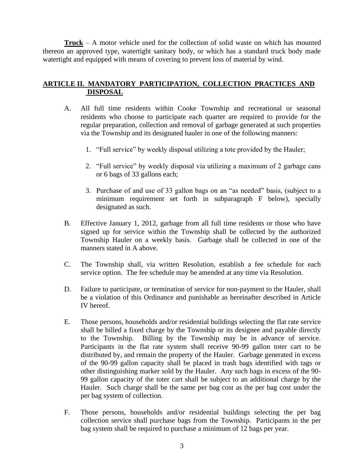**Truck** – A motor vehicle used for the collection of solid waste on which has mounted thereon an approved type, watertight sanitary body, or which has a standard truck body made watertight and equipped with means of covering to prevent loss of material by wind.

# **ARTICLE II. MANDATORY PARTICIPATION, COLLECTION PRACTICES AND DISPOSAL**

- A. All full time residents within Cooke Township and recreational or seasonal residents who choose to participate each quarter are required to provide for the regular preparation, collection and removal of garbage generated at such properties via the Township and its designated hauler in one of the following manners:
	- 1. "Full service" by weekly disposal utilizing a tote provided by the Hauler;
	- 2. "Full service" by weekly disposal via utilizing a maximum of 2 garbage cans or 6 bags of 33 gallons each;
	- 3. Purchase of and use of 33 gallon bags on an "as needed" basis, (subject to a minimum requirement set forth in subparagraph F below), specially designated as such.
- B. Effective January 1, 2012, garbage from all full time residents or those who have signed up for service within the Township shall be collected by the authorized Township Hauler on a weekly basis. Garbage shall be collected in one of the manners stated in A above.
- C. The Township shall, via written Resolution, establish a fee schedule for each service option. The fee schedule may be amended at any time via Resolution.
- D. Failure to participate, or termination of service for non-payment to the Hauler, shall be a violation of this Ordinance and punishable as hereinafter described in Article IV hereof.
- E. Those persons, households and/or residential buildings selecting the flat rate service shall be billed a fixed charge by the Township or its designee and payable directly to the Township. Billing by the Township may be in advance of service. Participants in the flat rate system shall receive 90-99 gallon toter cart to be distributed by, and remain the property of the Hauler. Garbage generated in excess of the 90-99 gallon capacity shall be placed in trash bags identified with tags or other distinguishing marker sold by the Hauler. Any such bags in excess of the 90- 99 gallon capacity of the toter cart shall be subject to an additional charge by the Hauler. Such charge shall be the same per bag cost as the per bag cost under the per bag system of collection.
- F. Those persons, households and/or residential buildings selecting the per bag collection service shall purchase bags from the Township. Participants in the per bag system shall be required to purchase a minimum of 12 bags per year.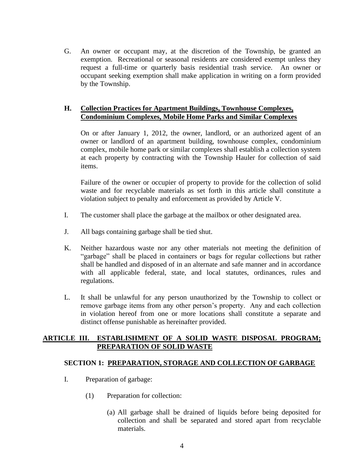G. An owner or occupant may, at the discretion of the Township, be granted an exemption. Recreational or seasonal residents are considered exempt unless they request a full-time or quarterly basis residential trash service. An owner or occupant seeking exemption shall make application in writing on a form provided by the Township.

### **H. Collection Practices for Apartment Buildings, Townhouse Complexes, Condominium Complexes, Mobile Home Parks and Similar Complexes**

On or after January 1, 2012, the owner, landlord, or an authorized agent of an owner or landlord of an apartment building, townhouse complex, condominium complex, mobile home park or similar complexes shall establish a collection system at each property by contracting with the Township Hauler for collection of said items.

Failure of the owner or occupier of property to provide for the collection of solid waste and for recyclable materials as set forth in this article shall constitute a violation subject to penalty and enforcement as provided by Article V.

- I. The customer shall place the garbage at the mailbox or other designated area.
- J. All bags containing garbage shall be tied shut.
- K. Neither hazardous waste nor any other materials not meeting the definition of "garbage" shall be placed in containers or bags for regular collections but rather shall be handled and disposed of in an alternate and safe manner and in accordance with all applicable federal, state, and local statutes, ordinances, rules and regulations.
- L. It shall be unlawful for any person unauthorized by the Township to collect or remove garbage items from any other person's property. Any and each collection in violation hereof from one or more locations shall constitute a separate and distinct offense punishable as hereinafter provided.

## **ARTICLE III. ESTABLISHMENT OF A SOLID WASTE DISPOSAL PROGRAM; PREPARATION OF SOLID WASTE**

## **SECTION 1: PREPARATION, STORAGE AND COLLECTION OF GARBAGE**

- I. Preparation of garbage:
	- (1) Preparation for collection:
		- (a) All garbage shall be drained of liquids before being deposited for collection and shall be separated and stored apart from recyclable materials.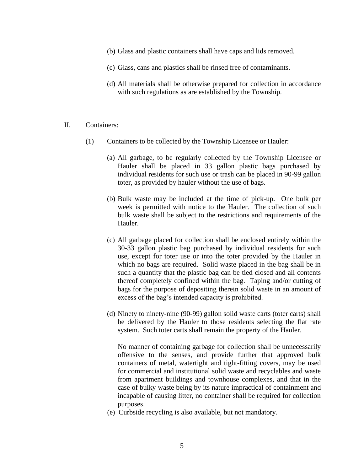- (b) Glass and plastic containers shall have caps and lids removed.
- (c) Glass, cans and plastics shall be rinsed free of contaminants.
- (d) All materials shall be otherwise prepared for collection in accordance with such regulations as are established by the Township.
- II. Containers:
	- (1) Containers to be collected by the Township Licensee or Hauler:
		- (a) All garbage, to be regularly collected by the Township Licensee or Hauler shall be placed in 33 gallon plastic bags purchased by individual residents for such use or trash can be placed in 90-99 gallon toter, as provided by hauler without the use of bags.
		- (b) Bulk waste may be included at the time of pick-up. One bulk per week is permitted with notice to the Hauler. The collection of such bulk waste shall be subject to the restrictions and requirements of the Hauler.
		- (c) All garbage placed for collection shall be enclosed entirely within the 30-33 gallon plastic bag purchased by individual residents for such use, except for toter use or into the toter provided by the Hauler in which no bags are required. Solid waste placed in the bag shall be in such a quantity that the plastic bag can be tied closed and all contents thereof completely confined within the bag. Taping and/or cutting of bags for the purpose of depositing therein solid waste in an amount of excess of the bag's intended capacity is prohibited.
		- (d) Ninety to ninety-nine (90-99) gallon solid waste carts (toter carts) shall be delivered by the Hauler to those residents selecting the flat rate system. Such toter carts shall remain the property of the Hauler.

No manner of containing garbage for collection shall be unnecessarily offensive to the senses, and provide further that approved bulk containers of metal, watertight and tight-fitting covers, may be used for commercial and institutional solid waste and recyclables and waste from apartment buildings and townhouse complexes, and that in the case of bulky waste being by its nature impractical of containment and incapable of causing litter, no container shall be required for collection purposes.

(e) Curbside recycling is also available, but not mandatory.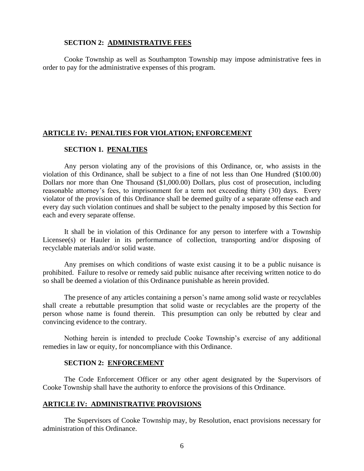### **SECTION 2: ADMINISTRATIVE FEES**

Cooke Township as well as Southampton Township may impose administrative fees in order to pay for the administrative expenses of this program.

#### **ARTICLE IV: PENALTIES FOR VIOLATION; ENFORCEMENT**

### **SECTION 1. PENALTIES**

Any person violating any of the provisions of this Ordinance, or, who assists in the violation of this Ordinance, shall be subject to a fine of not less than One Hundred (\$100.00) Dollars nor more than One Thousand (\$1,000.00) Dollars, plus cost of prosecution, including reasonable attorney's fees, to imprisonment for a term not exceeding thirty (30) days. Every violator of the provision of this Ordinance shall be deemed guilty of a separate offense each and every day such violation continues and shall be subject to the penalty imposed by this Section for each and every separate offense.

It shall be in violation of this Ordinance for any person to interfere with a Township Licensee(s) or Hauler in its performance of collection, transporting and/or disposing of recyclable materials and/or solid waste.

Any premises on which conditions of waste exist causing it to be a public nuisance is prohibited. Failure to resolve or remedy said public nuisance after receiving written notice to do so shall be deemed a violation of this Ordinance punishable as herein provided.

The presence of any articles containing a person's name among solid waste or recyclables shall create a rebuttable presumption that solid waste or recyclables are the property of the person whose name is found therein. This presumption can only be rebutted by clear and convincing evidence to the contrary.

Nothing herein is intended to preclude Cooke Township's exercise of any additional remedies in law or equity, for noncompliance with this Ordinance.

### **SECTION 2: ENFORCEMENT**

The Code Enforcement Officer or any other agent designated by the Supervisors of Cooke Township shall have the authority to enforce the provisions of this Ordinance.

#### **ARTICLE IV: ADMINISTRATIVE PROVISIONS**

The Supervisors of Cooke Township may, by Resolution, enact provisions necessary for administration of this Ordinance.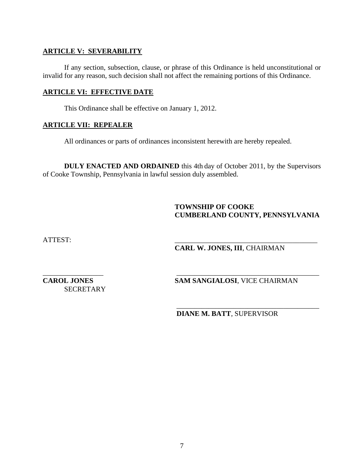## **ARTICLE V: SEVERABILITY**

If any section, subsection, clause, or phrase of this Ordinance is held unconstitutional or invalid for any reason, such decision shall not affect the remaining portions of this Ordinance.

### **ARTICLE VI: EFFECTIVE DATE**

This Ordinance shall be effective on January 1, 2012.

## **ARTICLE VII: REPEALER**

All ordinances or parts of ordinances inconsistent herewith are hereby repealed.

**DULY ENACTED AND ORDAINED** this 4th day of October 2011, by the Supervisors of Cooke Township, Pennsylvania in lawful session duly assembled.

 $\overline{\phantom{a}}$  , which is a set of the set of the set of the set of the set of the set of the set of the set of the set of the set of the set of the set of the set of the set of the set of the set of the set of the set of th

# **TOWNSHIP OF COOKE CUMBERLAND COUNTY, PENNSYLVANIA**

ATTEST: \_\_\_\_\_\_\_\_\_\_\_\_\_\_\_\_\_\_\_\_\_\_\_\_\_\_\_\_\_\_\_\_\_\_\_\_\_\_\_\_

# **CARL W. JONES, III**, CHAIRMAN

**SECRETARY** 

\_\_\_\_\_\_\_\_\_\_\_\_\_\_\_\_\_ \_\_\_\_\_\_\_\_\_\_\_\_\_\_\_\_\_\_\_\_\_\_\_\_\_\_\_\_\_\_\_\_\_\_\_\_\_\_\_\_ **CAROL JONES** SAM SANGIALOSI, VICE CHAIRMAN

**DIANE M. BATT**, SUPERVISOR